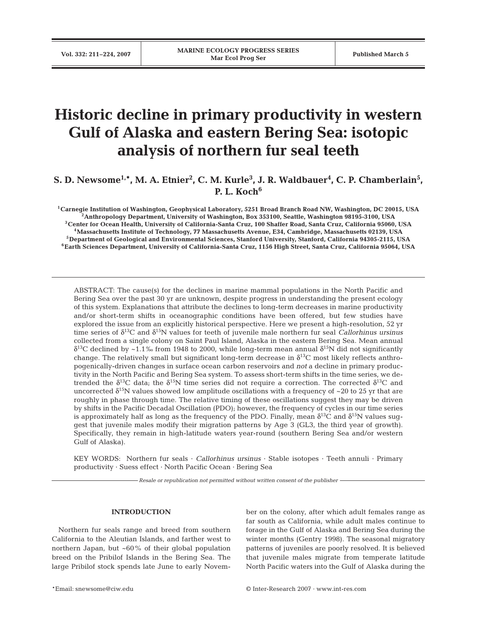# **Historic decline in primary productivity in western Gulf of Alaska and eastern Bering Sea: isotopic analysis of northern fur seal teeth**

 $\mathbf{S}. \mathbf{D}. \mathbf{N}$ ewsome<sup>1,\*</sup>, M. A. Etnier<sup>2</sup>, C. M. Kurle<sup>3</sup>, J. R. Waldbauer<sup>4</sup>, C. P. Chamberlain<sup>5</sup>, **P. L. Koch6**

**1Carnegie Institution of Washington, Geophysical Laboratory, 5251 Broad Branch Road NW, Washington, DC 20015, USA 2Anthropology Department, University of Washington, Box 353100, Seattle, Washington 98195-3100, USA 3Center for Ocean Health, University of California-Santa Cruz, 100 Shaffer Road, Santa Cruz, California 95060, USA 4Massachusetts Institute of Technology, 77 Massachusetts Avenue, E34, Cambridge, Massachusetts 02139, USA 5Department of Geological and Environmental Sciences, Stanford University, Stanford, California 94305-2115, USA 6Earth Sciences Department, University of California-Santa Cruz, 1156 High Street, Santa Cruz, California 95064, USA**

ABSTRACT: The cause(s) for the declines in marine mammal populations in the North Pacific and Bering Sea over the past 30 yr are unknown, despite progress in understanding the present ecology of this system. Explanations that attribute the declines to long-term decreases in marine productivity and/or short-term shifts in oceanographic conditions have been offered, but few studies have explored the issue from an explicitly historical perspective. Here we present a high-resolution, 52 yr time series of δ13C and δ15N values for teeth of juvenile male northern fur seal *Callorhinus ursinus* collected from a single colony on Saint Paul Island, Alaska in the eastern Bering Sea. Mean annual  $\delta^{13}$ C declined by ~1.1‰ from 1948 to 2000, while long-term mean annual  $\delta^{15}$ N did not significantly change. The relatively small but significant long-term decrease in  $\delta^{13}$ C most likely reflects anthropogenically-driven changes in surface ocean carbon reservoirs and *not* a decline in primary productivity in the North Pacific and Bering Sea system. To assess short-term shifts in the time series, we detrended the  $\delta^{13}C$  data; the  $\delta^{15}N$  time series did not require a correction. The corrected  $\delta^{13}C$  and uncorrected  $\delta^{15}N$  values showed low amplitude oscillations with a frequency of ~20 to 25 yr that are roughly in phase through time. The relative timing of these oscillations suggest they may be driven by shifts in the Pacific Decadal Oscillation (PDO); however, the frequency of cycles in our time series is approximately half as long as the frequency of the PDO. Finally, mean  $\delta^{13}$ C and  $\delta^{15}$ N values suggest that juvenile males modify their migration patterns by Age 3 (GL3, the third year of growth). Specifically, they remain in high-latitude waters year-round (southern Bering Sea and/or western Gulf of Alaska).

KEY WORDS: Northern fur seals · *Callorhinus ursinus* · Stable isotopes · Teeth annuli · Primary productivity · Suess effect · North Pacific Ocean · Bering Sea

*Resale or republication not permitted without written consent of the publisher*

## **INTRODUCTION**

Northern fur seals range and breed from southern California to the Aleutian Islands, and farther west to northern Japan, but ~60% of their global population breed on the Pribilof Islands in the Bering Sea. The large Pribilof stock spends late June to early November on the colony, after which adult females range as far south as California, while adult males continue to forage in the Gulf of Alaska and Bering Sea during the winter months (Gentry 1998). The seasonal migratory patterns of juveniles are poorly resolved. It is believed that juvenile males migrate from temperate latitude North Pacific waters into the Gulf of Alaska during the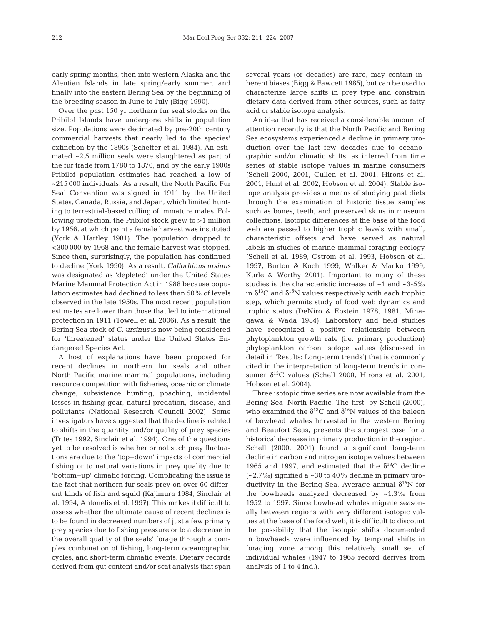early spring months, then into western Alaska and the Aleutian Islands in late spring/early summer, and finally into the eastern Bering Sea by the beginning of the breeding season in June to July (Bigg 1990).

Over the past 150 yr northern fur seal stocks on the Pribilof Islands have undergone shifts in population size. Populations were decimated by pre-20th century commercial harvests that nearly led to the species' extinction by the 1890s (Scheffer et al. 1984). An estimated ~2.5 million seals were slaughtered as part of the fur trade from 1780 to 1870, and by the early 1900s Pribilof population estimates had reached a low of ~215 000 individuals. As a result, the North Pacific Fur Seal Convention was signed in 1911 by the United States, Canada, Russia, and Japan, which limited hunting to terrestrial-based culling of immature males. Following protection, the Pribilof stock grew to >1 million by 1956, at which point a female harvest was instituted (York & Hartley 1981). The population dropped to <300 000 by 1968 and the female harvest was stopped. Since then, surprisingly, the population has continued to decline (York 1990). As a result, *Callorhinus ursinus* was designated as 'depleted' under the United States Marine Mammal Protection Act in 1988 because population estimates had declined to less than 50% of levels observed in the late 1950s. The most recent population estimates are lower than those that led to international protection in 1911 (Towell et al. 2006). As a result, the Bering Sea stock of *C. ursinus* is now being considered for 'threatened' status under the United States Endangered Species Act.

A host of explanations have been proposed for recent declines in northern fur seals and other North Pacific marine mammal populations, including resource competition with fisheries, oceanic or climate change, subsistence hunting, poaching, incidental losses in fishing gear, natural predation, disease, and pollutants (National Research Council 2002). Some investigators have suggested that the decline is related to shifts in the quantity and/or quality of prey species (Trites 1992, Sinclair et al. 1994). One of the questions yet to be resolved is whether or not such prey fluctuations are due to the 'top–down' impacts of commercial fishing or to natural variations in prey quality due to 'bottom–up' climatic forcing. Complicating the issue is the fact that northern fur seals prey on over 60 different kinds of fish and squid (Kajimura 1984, Sinclair et al. 1994, Antonelis et al. 1997). This makes it difficult to assess whether the ultimate cause of recent declines is to be found in decreased numbers of just a few primary prey species due to fishing pressure or to a decrease in the overall quality of the seals' forage through a complex combination of fishing, long-term oceanographic cycles, and short-term climatic events. Dietary records derived from gut content and/or scat analysis that span several years (or decades) are rare, may contain inherent biases (Bigg & Fawcett 1985), but can be used to characterize large shifts in prey type and constrain dietary data derived from other sources, such as fatty acid or stable isotope analysis.

An idea that has received a considerable amount of attention recently is that the North Pacific and Bering Sea ecosystems experienced a decline in primary production over the last few decades due to oceanographic and/or climatic shifts, as inferred from time series of stable isotope values in marine consumers (Schell 2000, 2001, Cullen et al. 2001, Hirons et al. 2001, Hunt et al. 2002, Hobson et al. 2004). Stable isotope analysis provides a means of studying past diets through the examination of historic tissue samples such as bones, teeth, and preserved skins in museum collections. Isotopic differences at the base of the food web are passed to higher trophic levels with small, characteristic offsets and have served as natural labels in studies of marine mammal foraging ecology (Schell et al. 1989, Ostrom et al. 1993, Hobson et al. 1997, Burton & Koch 1999, Walker & Macko 1999, Kurle & Worthy 2001). Important to many of these studies is the characteristic increase of ~1 and ~3-5‰ in  $\delta^{13}$ C and  $\delta^{15}$ N values respectively with each trophic step, which permits study of food web dynamics and trophic status (DeNiro & Epstein 1978, 1981, Minagawa & Wada 1984). Laboratory and field studies have recognized a positive relationship between phytoplankton growth rate (i.e. primary production) phytoplankton carbon isotope values (discussed in detail in 'Results: Long-term trends') that is commonly cited in the interpretation of long-term trends in consumer  $\delta^{13}$ C values (Schell 2000, Hirons et al. 2001, Hobson et al. 2004).

Three isotopic time series are now available from the Bering Sea–North Pacific. The first, by Schell (2000), who examined the  $\delta^{13}$ C and  $\delta^{15}$ N values of the baleen of bowhead whales harvested in the western Bering and Beaufort Seas, presents the strongest case for a historical decrease in primary production in the region. Schell (2000, 2001) found a significant long-term decline in carbon and nitrogen isotope values between 1965 and 1997, and estimated that the  $\delta^{13}$ C decline  $(-2.7\%)$  signified a ~30 to 40% decline in primary productivity in the Bering Sea. Average annual  $\delta^{15}N$  for the bowheads analyzed decreased by  $~1.3\%$  from 1952 to 1997. Since bowhead whales migrate seasonally between regions with very different isotopic values at the base of the food web, it is difficult to discount the possibility that the isotopic shifts documented in bowheads were influenced by temporal shifts in foraging zone among this relatively small set of individual whales (1947 to 1965 record derives from analysis of 1 to 4 ind.).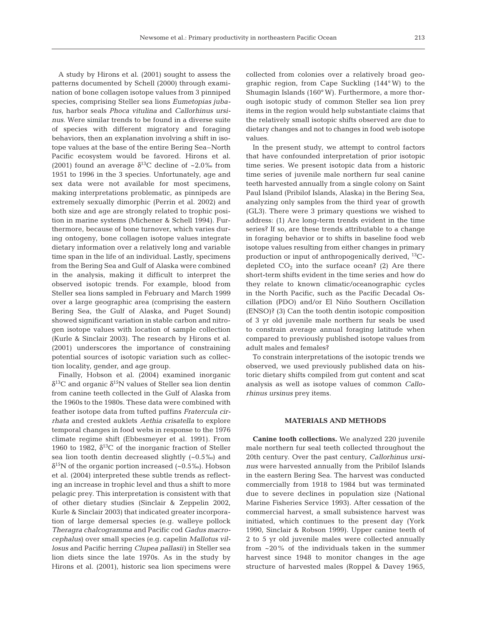A study by Hirons et al. (2001) sought to assess the patterns documented by Schell (2000) through examination of bone collagen isotope values from 3 pinniped species, comprising Steller sea lions *Eumetopias jubatus*, harbor seals *Phoca vitulina* and *Callorhinus ursinus*. Were similar trends to be found in a diverse suite of species with different migratory and foraging behaviors, then an explanation involving a shift in isotope values at the base of the entire Bering Sea–North Pacific ecosystem would be favored. Hirons et al. (2001) found an average  $\delta^{13}$ C decline of ~2.0‰ from 1951 to 1996 in the 3 species. Unfortunately, age and sex data were not available for most specimens, making interpretations problematic, as pinnipeds are extremely sexually dimorphic (Perrin et al. 2002) and both size and age are strongly related to trophic position in marine systems (Michener & Schell 1994). Furthermore, because of bone turnover, which varies during ontogeny, bone collagen isotope values integrate dietary information over a relatively long and variable time span in the life of an individual. Lastly, specimens from the Bering Sea and Gulf of Alaska were combined in the analysis, making it difficult to interpret the observed isotopic trends. For example, blood from Steller sea lions sampled in February and March 1999 over a large geographic area (comprising the eastern Bering Sea, the Gulf of Alaska, and Puget Sound) showed significant variation in stable carbon and nitrogen isotope values with location of sample collection (Kurle & Sinclair 2003). The research by Hirons et al. (2001) underscores the importance of constraining potential sources of isotopic variation such as collection locality, gender, and age group.

Finally, Hobson et al. (2004) examined inorganic  $δ<sup>13</sup>C$  and organic  $δ<sup>15</sup>N$  values of Steller sea lion dentin from canine teeth collected in the Gulf of Alaska from the 1960s to the 1980s. These data were combined with feather isotope data from tufted puffins *Fratercula cirrhata* and crested auklets *Aethia crisatella* to explore temporal changes in food webs in response to the 1976 climate regime shift (Ebbesmeyer et al. 1991). From 1960 to 1982,  $\delta^{13}$ C of the inorganic fraction of Steller sea lion tooth dentin decreased slightly (~0.5‰) and  $\delta^{15}$ N of the organic portion increased (~0.5‰). Hobson et al. (2004) interpreted these subtle trends as reflecting an increase in trophic level and thus a shift to more pelagic prey. This interpretation is consistent with that of other dietary studies (Sinclair & Zeppelin 2002, Kurle & Sinclair 2003) that indicated greater incorporation of large demersal species (e.g. walleye pollock *Theragra chalcogramma* and Pacific cod *Gadus macrocephalus*) over small species (e.g. capelin *Mallotus villosus* and Pacific herring *Clupea pallasii*) in Steller sea lion diets since the late 1970s. As in the study by Hirons et al. (2001), historic sea lion specimens were

collected from colonies over a relatively broad geographic region, from Cape Suckling (144° W) to the Shumagin Islands (160° W). Furthermore, a more thorough isotopic study of common Steller sea lion prey items in the region would help substantiate claims that the relatively small isotopic shifts observed are due to dietary changes and not to changes in food web isotope values.

In the present study, we attempt to control factors that have confounded interpretation of prior isotopic time series. We present isotopic data from a historic time series of juvenile male northern fur seal canine teeth harvested annually from a single colony on Saint Paul Island (Pribilof Islands, Alaska) in the Bering Sea, analyzing only samples from the third year of growth (GL3). There were 3 primary questions we wished to address: (1) Are long-term trends evident in the time series? If so, are these trends attributable to a change in foraging behavior or to shifts in baseline food web isotope values resulting from either changes in primary production or input of anthropogenically derived, 13Cdepleted  $CO<sub>2</sub>$  into the surface ocean? (2) Are there short-term shifts evident in the time series and how do they relate to known climatic/oceanographic cycles in the North Pacific, such as the Pacific Decadal Oscillation (PDO) and/or El Niño Southern Oscillation (ENSO)? (3) Can the tooth dentin isotopic composition of 3 yr old juvenile male northern fur seals be used to constrain average annual foraging latitude when compared to previously published isotope values from adult males and females?

To constrain interpretations of the isotopic trends we observed, we used previously published data on historic dietary shifts compiled from gut content and scat analysis as well as isotope values of common *Callorhinus ursinus* prey items.

## **MATERIALS AND METHODS**

**Canine tooth collections.** We analyzed 220 juvenile male northern fur seal teeth collected throughout the 20th century. Over the past century, *Callorhinus ursinus* were harvested annually from the Pribilof Islands in the eastern Bering Sea. The harvest was conducted commercially from 1918 to 1984 but was terminated due to severe declines in population size (National Marine Fisheries Service 1993). After cessation of the commercial harvest, a small subsistence harvest was initiated, which continues to the present day (York 1990, Sinclair & Robson 1999). Upper canine teeth of 2 to 5 yr old juvenile males were collected annually from ~20% of the individuals taken in the summer harvest since 1948 to monitor changes in the age structure of harvested males (Roppel & Davey 1965,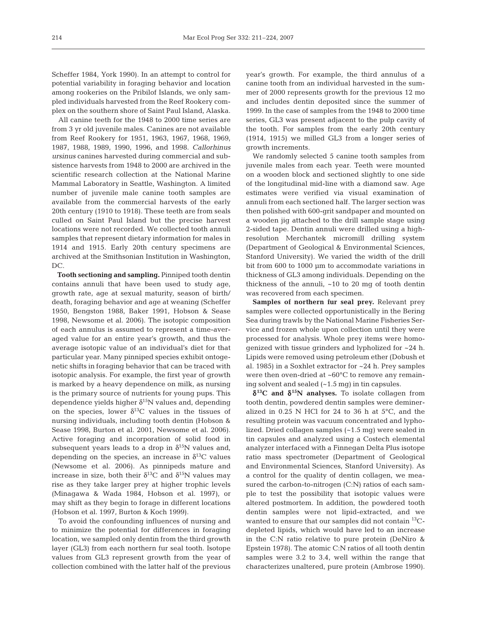Scheffer 1984, York 1990). In an attempt to control for potential variability in foraging behavior and location among rookeries on the Pribilof Islands, we only sampled individuals harvested from the Reef Rookery complex on the southern shore of Saint Paul Island, Alaska.

All canine teeth for the 1948 to 2000 time series are from 3 yr old juvenile males. Canines are not available from Reef Rookery for 1951, 1963, 1967, 1968, 1969, 1987, 1988, 1989, 1990, 1996, and 1998. *Callorhinus ursinus* canines harvested during commercial and subsistence harvests from 1948 to 2000 are archived in the scientific research collection at the National Marine Mammal Laboratory in Seattle, Washington. A limited number of juvenile male canine tooth samples are available from the commercial harvests of the early 20th century (1910 to 1918). These teeth are from seals culled on Saint Paul Island but the precise harvest locations were not recorded. We collected tooth annuli samples that represent dietary information for males in 1914 and 1915. Early 20th century specimens are archived at the Smithsonian Institution in Washington,  $DC$ 

**Tooth sectioning and sampling.** Pinniped tooth dentin contains annuli that have been used to study age, growth rate, age at sexual maturity, season of birth/ death, foraging behavior and age at weaning (Scheffer 1950, Bengston 1988, Baker 1991, Hobson & Sease 1998, Newsome et al. 2006). The isotopic composition of each annulus is assumed to represent a time-averaged value for an entire year's growth, and thus the average isotopic value of an individual's diet for that particular year. Many pinniped species exhibit ontogenetic shifts in foraging behavior that can be traced with isotopic analysis. For example, the first year of growth is marked by a heavy dependence on milk, as nursing is the primary source of nutrients for young pups. This dependence yields higher  $\delta^{15}N$  values and, depending on the species, lower  $\delta^{13}$ C values in the tissues of nursing individuals, including tooth dentin (Hobson & Sease 1998, Burton et al. 2001, Newsome et al. 2006). Active foraging and incorporation of solid food in subsequent years leads to a drop in  $\delta^{15}N$  values and, depending on the species, an increase in  $\delta^{13}$ C values (Newsome et al. 2006). As pinnipeds mature and increase in size, both their  $\delta^{13}$ C and  $\delta^{15}$ N values may rise as they take larger prey at higher trophic levels (Minagawa & Wada 1984, Hobson et al. 1997), or may shift as they begin to forage in different locations (Hobson et al. 1997, Burton & Koch 1999).

To avoid the confounding influences of nursing and to minimize the potential for differences in foraging location, we sampled only dentin from the third growth layer (GL3) from each northern fur seal tooth. Isotope values from GL3 represent growth from the year of collection combined with the latter half of the previous year's growth. For example, the third annulus of a canine tooth from an individual harvested in the summer of 2000 represents growth for the previous 12 mo and includes dentin deposited since the summer of 1999. In the case of samples from the 1948 to 2000 time series, GL3 was present adjacent to the pulp cavity of the tooth. For samples from the early 20th century (1914, 1915) we milled GL3 from a longer series of growth increments.

We randomly selected 5 canine tooth samples from juvenile males from each year. Teeth were mounted on a wooden block and sectioned slightly to one side of the longitudinal mid-line with a diamond saw. Age estimates were verified via visual examination of annuli from each sectioned half. The larger section was then polished with 600-grit sandpaper and mounted on a wooden jig attached to the drill sample stage using 2-sided tape. Dentin annuli were drilled using a highresolution Merchantek micromill drilling system (Department of Geological & Environmental Sciences, Stanford University). We varied the width of the drill bit from 600 to 1000 µm to accommodate variations in thickness of GL3 among individuals. Depending on the thickness of the annuli,  $~10$  to 20 mg of tooth dentin was recovered from each specimen.

**Samples of northern fur seal prey.** Relevant prey samples were collected opportunistically in the Bering Sea during trawls by the National Marine Fisheries Service and frozen whole upon collection until they were processed for analysis. Whole prey items were homogenized with tissue grinders and lypholized for ~24 h. Lipids were removed using petroleum ether (Dobush et al. 1985) in a Soxhlet extractor for ~24 h. Prey samples were then oven-dried at ~60°C to remove any remaining solvent and sealed (~1.5 mg) in tin capsules.

δ**13C and** δ**15N analyses.** To isolate collagen from tooth dentin, powdered dentin samples were demineralized in 0.25 N HCl for 24 to 36 h at 5°C, and the resulting protein was vacuum concentrated and lypholized. Dried collagen samples (~1.5 mg) were sealed in tin capsules and analyzed using a Costech elemental analyzer interfaced with a Finnegan Delta Plus isotope ratio mass spectrometer (Department of Geological and Environmental Sciences, Stanford University). As a control for the quality of dentin collagen, we measured the carbon-to-nitrogen (C:N) ratios of each sample to test the possibility that isotopic values were altered postmortem. In addition, the powdered tooth dentin samples were not lipid-extracted, and we wanted to ensure that our samples did not contain <sup>13</sup>Cdepleted lipids, which would have led to an increase in the C:N ratio relative to pure protein (DeNiro & Epstein 1978). The atomic C:N ratios of all tooth dentin samples were 3.2 to 3.4, well within the range that characterizes unaltered, pure protein (Ambrose 1990).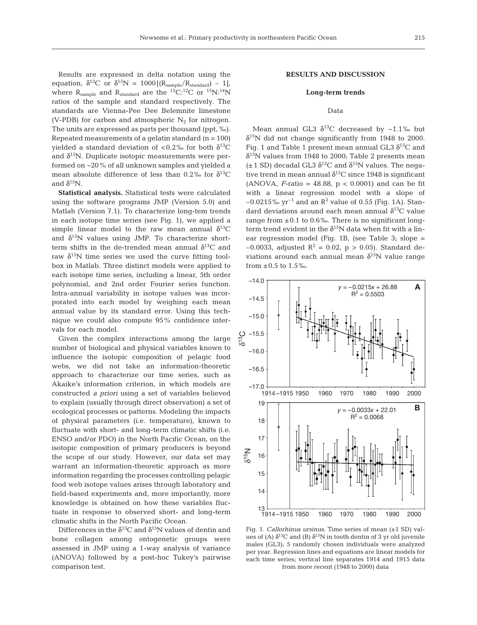Results are expressed in delta notation using the equation,  $\delta^{13}C$  or  $\delta^{15}N = 1000[(R_{sample}/R_{standard}) - 1]$ , where  $R_{sample}$  and  $R_{standard}$  are the <sup>13</sup>C:<sup>12</sup>C or <sup>15</sup>N:<sup>14</sup>N ratios of the sample and standard respectively. The standards are Vienna-Pee Dee Belemnite limestone (V-PDB) for carbon and atmospheric  $N_2$  for nitrogen. The units are expressed as parts per thousand (ppt, ‰). Repeated measurements of a gelatin standard  $(n = 100)$ yielded a standard deviation of <0.2‰ for both  $\delta^{13}C$ and  $\delta^{15}$ N. Duplicate isotopic measurements were performed on ~20% of all unknown samples and yielded a mean absolute difference of less than 0.2‰ for  $\delta^{13}C$ and  $\delta^{15}$ N.

**Statistical analysis.** Statistical tests were calculated using the software programs JMP (Version 5.0) and Matlab (Version 7.1). To characterize long-tem trends in each isotope time series (see Fig. 1), we applied a simple linear model to the raw mean annual  $\delta^{13}C$ and  $\delta^{15}N$  values using JMP. To characterize shortterm shifts in the de-trended mean annual  $\delta^{13}C$  and raw  $\delta^{15}$ N time series we used the curve fitting toolbox in Matlab. Three distinct models were applied to each isotope time series, including a linear, 5th order polynomial, and 2nd order Fourier series function. Intra-annual variability in isotope values was incorporated into each model by weighing each mean annual value by its standard error. Using this technique we could also compute 95% confidence intervals for each model.

Given the complex interactions among the large number of biological and physical variables known to influence the isotopic composition of pelagic food webs, we did not take an information-theoretic approach to characterize our time series, such as Akaike's information criterion, in which models are constructed *a priori* using a set of variables believed to explain (usually through direct observation) a set of ecological processes or patterns. Modeling the impacts of physical parameters (i.e. temperature), known to fluctuate with short- and long-term climatic shifts (i.e. ENSO and/or PDO) in the North Pacific Ocean, on the isotopic composition of primary producers is beyond the scope of our study. However, our data set may warrant an information-theoretic approach as more information regarding the processes controlling pelagic food web isotope values arises through laboratory and field-based experiments and, more importantly, more knowledge is obtained on how these variables fluctuate in response to observed short- and long-term climatic shifts in the North Pacific Ocean.

Differences in the  $\delta^{13}$ C and  $\delta^{15}$ N values of dentin and bone collagen among ontogenetic groups were assessed in JMP using a 1-way analysis of variance (ANOVA) followed by a post-hoc Tukey's pairwise comparison test.

# **RESULTS AND DISCUSSION**

#### **Long-term trends**

## Data

Mean annual GL3  $\delta^{13}$ C decreased by ~1.1‰ but  $\delta^{15}$ N did not change significantly from 1948 to 2000. Fig. 1 and Table 1 present mean annual GL3  $\delta^{13}C$  and  $\delta^{15}$ N values from 1948 to 2000; Table 2 presents mean  $(\pm 1$  SD) decadal GL3  $\delta^{13}$ C and  $\delta^{15}$ N values. The negative trend in mean annual  $\delta^{13}$ C since 1948 is significant (ANOVA,  $F$ -ratio = 48.88,  $p < 0.0001$ ) and can be fit with a linear regression model with a slope of  $-0.0215\%$  yr<sup>-1</sup> and an R<sup>2</sup> value of 0.55 (Fig. 1A). Standard deviations around each mean annual  $\delta^{13}C$  value range from  $\pm 0.1$  to 0.6‰. There is no significant longterm trend evident in the  $\delta^{15}N$  data when fit with a linear regression model (Fig. 1B, (see Table 3; slope =  $-0.0033$ , adjusted R<sup>2</sup> = 0.02, p > 0.05). Standard deviations around each annual mean  $\delta^{15}N$  value range from  $\pm 0.5$  to  $1.5\%$ .



Fig. 1. *Callorhinus ursinus*. Time series of mean (±1 SD) values of (A)  $\delta^{13}C$  and (B)  $\delta^{15}N$  in tooth dentin of 3 yr old juvenile males (GL3); 5 randomly chosen individuals were analyzed per year. Regression lines and equations are linear models for each time series; vertical line separates 1914 and 1915 data from more recent (1948 to 2000) data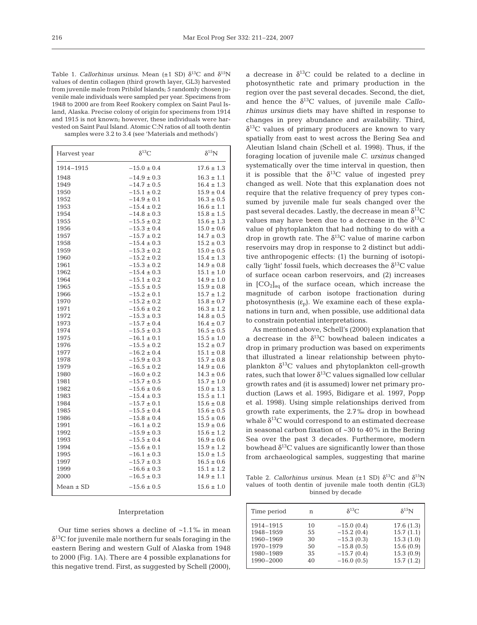Table 1. *Callorhinus ursinus*. Mean ( $\pm$ 1 SD)  $\delta$ <sup>13</sup>C and  $\delta$ <sup>15</sup>N values of dentin collagen (third growth layer, GL3) harvested from juvenile male from Pribilof Islands; 5 randomly chosen juvenile male individuals were sampled per year. Specimens from 1948 to 2000 are from Reef Rookery complex on Saint Paul Island, Alaska. Precise colony of origin for specimens from 1914 and 1915 is not known; however, these individuals were harvested on Saint Paul Island. Atomic C:N ratios of all tooth dentin samples were 3.2 to 3.4 (see 'Materials and methods')

| Harvest year  | $\delta^{13}C$                     | $\delta^{15}N$                   |
|---------------|------------------------------------|----------------------------------|
| 1914-1915     | $-15.0 \pm 0.4$                    | $17.6 \pm 1.3$                   |
| 1948          | $-14.9 \pm 0.3$                    | $16.3 \pm 1.1$                   |
| 1949          | $-14.7 \pm 0.5$                    | $16.4 \pm 1.3$                   |
| 1950          | $-15.1 \pm 0.2$                    | $15.9 \pm 0.4$                   |
| 1952          | $-14.9 \pm 0.1$                    | $16.3 \pm 0.5$                   |
| 1953          | $-15.4 \pm 0.2$                    | $16.6 \pm 1.1$                   |
| 1954          | $-14.8 \pm 0.3$                    | $15.8 \pm 1.5$                   |
| 1955          | $-15.5 \pm 0.2$                    | $15.6 \pm 1.3$                   |
| 1956          | $-15.3 \pm 0.4$                    | $15.0 \pm 0.6$                   |
| 1957          | $-15.7 \pm 0.2$                    | $14.7 \pm 0.3$                   |
| 1958          | $-15.4 \pm 0.3$                    | $15.2 \pm 0.3$                   |
| 1959          | $-15.3 \pm 0.2$<br>$-15.2 \pm 0.2$ | $15.0 \pm 0.5$                   |
| 1960<br>1961  | $-15.3 \pm 0.2$                    | $15.4 \pm 1.3$<br>$14.9 \pm 0.8$ |
| 1962          | $-15.4 \pm 0.3$                    | $15.1 \pm 1.0$                   |
| 1964          | $-15.1 \pm 0.2$                    | $14.9 \pm 1.0$                   |
| 1965          | $-15.5 \pm 0.5$                    | $15.9 \pm 0.8$                   |
| 1966          | $-15.2 \pm 0.1$                    | $15.7 \pm 1.2$                   |
| 1970          | $-15.2 \pm 0.2$                    | $15.8 \pm 0.7$                   |
| 1971          | $-15.6 \pm 0.2$                    | $16.3 \pm 1.2$                   |
| 1972          | $-15.3 \pm 0.3$                    | $14.8 \pm 0.5$                   |
| 1973          | $-15.7 \pm 0.4$                    | $16.4 \pm 0.7$                   |
| 1974          | $-15.5 \pm 0.3$                    | $16.5 \pm 0.5$                   |
| 1975          | $-16.1 \pm 0.1$                    | $15.5 \pm 1.0$                   |
| 1976          | $-15.5 \pm 0.2$                    | $15.2 \pm 0.7$                   |
| 1977          | $-16.2 \pm 0.4$                    | $15.1 \pm 0.8$                   |
| 1978          | $-15.9 \pm 0.3$                    | $15.7 \pm 0.8$                   |
| 1979          | $-16.5 \pm 0.2$                    | $14.9 \pm 0.6$                   |
| 1980          | $-16.0 \pm 0.2$                    | $14.3 \pm 0.6$                   |
| 1981          | $-15.7 \pm 0.5$                    | $15.7 \pm 1.0$                   |
| 1982          | $-15.6 \pm 0.6$                    | $15.0 \pm 1.3$                   |
| 1983          | $-15.4 \pm 0.3$                    | $15.5 \pm 1.1$                   |
| 1984          | $-15.7 \pm 0.1$                    | $15.6 \pm 0.8$                   |
| 1985<br>1986  | $-15.5 \pm 0.4$<br>$-15.8 \pm 0.4$ | $15.6 \pm 0.5$<br>$15.5 \pm 0.6$ |
| 1991          | $-16.1 \pm 0.2$                    | $15.9 \pm 0.6$                   |
| 1992          | $-15.9 \pm 0.3$                    | $15.6 \pm 1.2$                   |
| 1993          | $-15.5 \pm 0.4$                    | $16.9 \pm 0.6$                   |
| 1994          | $-15.6 \pm 0.1$                    | $15.9 \pm 1.2$                   |
| 1995          | $-16.1 \pm 0.3$                    | $15.0 \pm 1.5$                   |
| 1997          | $-15.7 \pm 0.3$                    | $16.5 \pm 0.6$                   |
| 1999          | $-16.6 \pm 0.3$                    | $15.1 \pm 1.2$                   |
| 2000          | $-16.5 \pm 0.3$                    | $14.9 \pm 1.1$                   |
| $Mean \pm SD$ | $-15.6 \pm 0.5$                    | $15.6 \pm 1.0$                   |

#### Interpretation

Our time series shows a decline of  $~1.1\%$  in mean  $\delta^{13}$ C for juvenile male northern fur seals foraging in the eastern Bering and western Gulf of Alaska from 1948 to 2000 (Fig. 1A). There are 4 possible explanations for this negative trend. First, as suggested by Schell (2000),

a decrease in  $\delta^{13}$ C could be related to a decline in photosynthetic rate and primary production in the region over the past several decades. Second, the diet, and hence the  $\delta^{13}$ C values, of juvenile male *Callorhinus ursinus* diets may have shifted in response to changes in prey abundance and availability. Third,  $\delta^{13}$ C values of primary producers are known to vary spatially from east to west across the Bering Sea and Aleutian Island chain (Schell et al. 1998). Thus, if the foraging location of juvenile male *C. ursinus* changed systematically over the time interval in question, then it is possible that the  $\delta^{13}$ C value of ingested prey changed as well. Note that this explanation does not require that the relative frequency of prey types consumed by juvenile male fur seals changed over the past several decades. Lastly, the decrease in mean  $\delta^{13}C$ values may have been due to a decrease in the  $\delta^{13}C$ value of phytoplankton that had nothing to do with a drop in growth rate. The  $\delta^{13}$ C value of marine carbon reservoirs may drop in response to 2 distinct but additive anthropogenic effects: (1) the burning of isotopically 'light' fossil fuels, which decreases the  $\delta^{13}C$  value of surface ocean carbon reservoirs, and (2) increases in  $[CO_2]_{aq}$  of the surface ocean, which increase the magnitude of carbon isotope fractionation during photosynthesis  $(\varepsilon_n)$ . We examine each of these explanations in turn and, when possible, use additional data to constrain potential interpretations.

As mentioned above, Schell's (2000) explanation that a decrease in the  $\delta^{13}$ C bowhead baleen indicates a drop in primary production was based on experiments that illustrated a linear relationship between phytoplankton  $\delta^{13}$ C values and phytoplankton cell-growth rates, such that lower  $\delta^{13}$ C values signalled low cellular growth rates and (it is assumed) lower net primary production (Laws et al. 1995, Bidigare et al. 1997, Popp et al. 1998). Using simple relationships derived from growth rate experiments, the 2.7‰ drop in bowhead whale  $\delta^{13}$ C would correspond to an estimated decrease in seasonal carbon fixation of ~30 to 40% in the Bering Sea over the past 3 decades. Furthermore, modern bowhead  $\delta^{13}$ C values are significantly lower than those from archaeological samples, suggesting that marine

Table 2. *Callorhinus ursinus*. Mean ( $\pm$ 1 SD)  $\delta$ <sup>13</sup>C and  $\delta$ <sup>15</sup>N values of tooth dentin of juvenile male tooth dentin (GL3) binned by decade

| Time period            | n        | $\delta^{13}C$               | $\delta^{15}$ N        |
|------------------------|----------|------------------------------|------------------------|
| 1914-1915              | 10       | $-15.0(0.4)$                 | 17.6(1.3)              |
| 1948-1959<br>1960-1969 | 55<br>30 | $-15.2(0.4)$<br>$-15.3(0.3)$ | 15.7(1.1)<br>15.3(1.0) |
| 1970-1979              | 50       | $-15.8(0.5)$                 | 15.6(0.9)              |
| 1980-1989<br>1990-2000 | 35<br>40 | $-15.7(0.4)$<br>$-16.0(0.5)$ | 15.3(0.9)<br>15.7(1.2) |
|                        |          |                              |                        |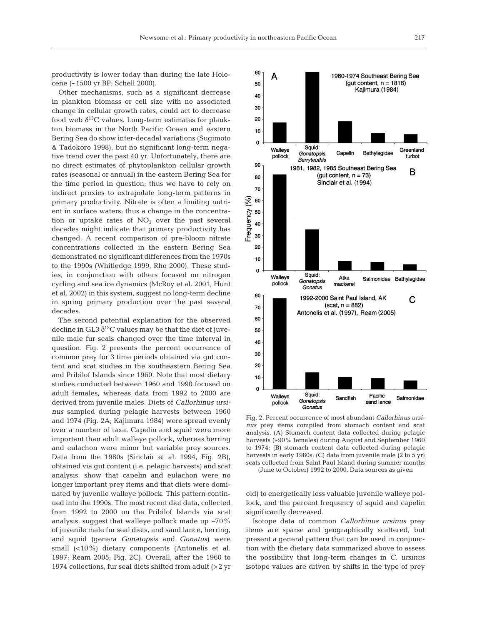productivity is lower today than during the late Holocene (~1500 yr BP; Schell 2000).

Other mechanisms, such as a significant decrease in plankton biomass or cell size with no associated change in cellular growth rates, could act to decrease food web  $\delta^{13}$ C values. Long-term estimates for plankton biomass in the North Pacific Ocean and eastern Bering Sea do show inter-decadal variations (Sugimoto & Tadokoro 1998), but no significant long-term negative trend over the past 40 yr. Unfortunately, there are no direct estimates of phytoplankton cellular growth rates (seasonal or annual) in the eastern Bering Sea for the time period in question; thus we have to rely on indirect proxies to extrapolate long-term patterns in primary productivity. Nitrate is often a limiting nutrient in surface waters; thus a change in the concentration or uptake rates of  $NO<sub>3</sub>$  over the past several decades might indicate that primary productivity has changed. A recent comparison of pre-bloom nitrate concentrations collected in the eastern Bering Sea demonstrated no significant differences from the 1970s to the 1990s (Whitledge 1999, Rho 2000). These studies, in conjunction with others focused on nitrogen cycling and sea ice dynamics (McRoy et al. 2001, Hunt et al. 2002) in this system, suggest no long-term decline in spring primary production over the past several decades.

The second potential explanation for the observed decline in GL3  $\delta^{13}$ C values may be that the diet of juvenile male fur seals changed over the time interval in question. Fig. 2 presents the percent occurrence of common prey for 3 time periods obtained via gut content and scat studies in the southeastern Bering Sea and Pribilof Islands since 1960. Note that most dietary studies conducted between 1960 and 1990 focused on adult females, whereas data from 1992 to 2000 are derived from juvenile males. Diets of *Callorhinus ursinus* sampled during pelagic harvests between 1960 and 1974 (Fig. 2A; Kajimura 1984) were spread evenly over a number of taxa. Capelin and squid were more important than adult walleye pollock, whereas herring and eulachon were minor but variable prey sources. Data from the 1980s (Sinclair et al. 1994, Fig. 2B), obtained via gut content (i.e. pelagic harvests) and scat analysis, show that capelin and eulachon were no longer important prey items and that diets were dominated by juvenile walleye pollock. This pattern continued into the 1990s. The most recent diet data, collected from 1992 to 2000 on the Pribilof Islands via scat analysis, suggest that walleye pollock made up ~70% of juvenile male fur seal diets, and sand lance, herring, and squid (genera *Gonatopsis* and *Gonatus*) were small (<10%) dietary components (Antonelis et al. 1997; Ream 2005; Fig. 2C). Overall, after the 1960 to 1974 collections, fur seal diets shifted from adult (>2 yr



Fig. 2. Percent occurrence of most abundant *Callorhinus ursinus* prey items compiled from stomach content and scat analysis. (A) Stomach content data collected during pelagic harvests (~90% females) during August and September 1960 to 1974; (B) stomach content data collected during pelagic harvests in early 1980s; (C) data from juvenile male (2 to 5 yr) scats collected from Saint Paul Island during summer months

(June to October) 1992 to 2000. Data sources as given

old) to energetically less valuable juvenile walleye pollock, and the percent frequency of squid and capelin significantly decreased.

Isotope data of common *Callorhinus ursinus* prey items are sparse and geographically scattered, but present a general pattern that can be used in conjunction with the dietary data summarized above to assess the possibility that long-term changes in *C. ursinus* isotope values are driven by shifts in the type of prey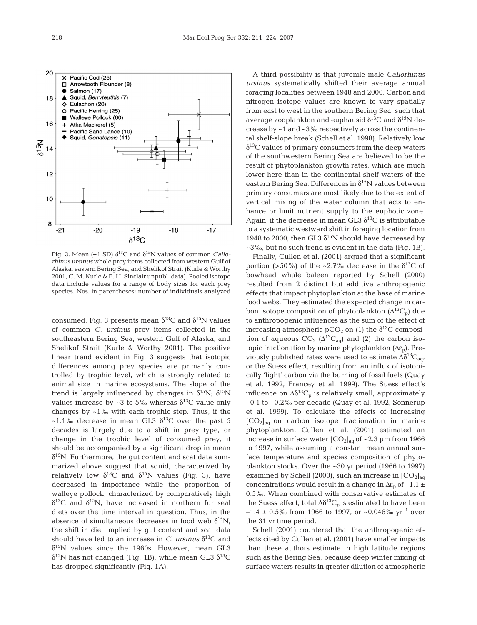

Fig. 3. Mean ( $\pm$ 1 SD)  $\delta$ <sup>13</sup>C and  $\delta$ <sup>15</sup>N values of common *Callorhinus ursinus* whole prey items collected from western Gulf of Alaska, eastern Bering Sea, and Shelikof Strait (Kurle & Worthy 2001, C. M. Kurle & E. H. Sinclair unpubl. data). Pooled isotope data include values for a range of body sizes for each prey species. Nos. in parentheses: number of individuals analyzed

consumed. Fig. 3 presents mean  $\delta^{13}C$  and  $\delta^{15}N$  values of common *C. ursinus* prey items collected in the southeastern Bering Sea, western Gulf of Alaska, and Shelikof Strait (Kurle & Worthy 2001). The positive linear trend evident in Fig. 3 suggests that isotopic differences among prey species are primarily controlled by trophic level, which is strongly related to animal size in marine ecosystems. The slope of the trend is largely influenced by changes in  $\delta^{15}N$ ;  $\delta^{15}N$ values increase by ~3 to 5‰ whereas  $\delta^{13}$ C value only changes by ~1‰ with each trophic step. Thus, if the ~1.1‰ decrease in mean GL3  $\delta^{13}$ C over the past 5 decades is largely due to a shift in prey type, or change in the trophic level of consumed prey, it should be accompanied by a significant drop in mean  $\delta^{15}$ N. Furthermore, the gut content and scat data summarized above suggest that squid, characterized by relatively low  $\delta^{13}C$  and  $\delta^{15}N$  values (Fig. 3), have decreased in importance while the proportion of walleye pollock, characterized by comparatively high  $\delta^{13}$ C and  $\delta^{15}$ N, have increased in northern fur seal diets over the time interval in question. Thus, in the absence of simultaneous decreases in food web  $\delta^{15}N$ , the shift in diet implied by gut content and scat data should have led to an increase in *C. ursinus*  $\delta^{13}$ C and  $\delta^{15}$ N values since the 1960s. However, mean GL3  $δ<sup>15</sup>N$  has not changed (Fig. 1B), while mean GL3  $δ<sup>13</sup>C$ has dropped significantly (Fig. 1A).

A third possibility is that juvenile male *Callorhinus ursinus* systematically shifted their average annual foraging localities between 1948 and 2000. Carbon and nitrogen isotope values are known to vary spatially from east to west in the southern Bering Sea, such that average zooplankton and euphausid  $\delta^{13}C$  and  $\delta^{15}N$  decrease by ~1 and ~3‰ respectively across the continental shelf-slope break (Schell et al. 1998). Relatively low  $\delta^{13}$ C values of primary consumers from the deep waters of the southwestern Bering Sea are believed to be the result of phytoplankton growth rates, which are much lower here than in the continental shelf waters of the eastern Bering Sea. Differences in  $\delta^{15}N$  values between primary consumers are most likely due to the extent of vertical mixing of the water column that acts to enhance or limit nutrient supply to the euphotic zone. Again, if the decrease in mean GL3  $\delta^{13}$ C is attributable to a systematic westward shift in foraging location from 1948 to 2000, then GL3  $\delta^{15}N$  should have decreased by ~3‰, but no such trend is evident in the data (Fig. 1B).

Finally, Cullen et al. (2001) argued that a significant portion (>50%) of the ~2.7% decrease in the  $\delta^{13}C$  of bowhead whale baleen reported by Schell (2000) resulted from 2 distinct but additive anthropogenic effects that impact phytoplankton at the base of marine food webs. They estimated the expected change in carbon isotope composition of phytoplankton  $(\Delta^{13}C_p)$  due to anthropogenic influences as the sum of the effect of increasing atmospheric pCO<sub>2</sub> on (1) the  $\delta^{13}$ C composition of aqueous  $CO_2$  ( $\Delta^{13}C_{aq}$ ) and (2) the carbon isotopic fractionation by marine phytoplankton  $(\Delta \varepsilon_{p})$ . Previously published rates were used to estimate  $\Delta \delta^{13}C_{\text{a}q}$ or the Suess effect, resulting from an influx of isotopically 'light' carbon via the burning of fossil fuels (Quay et al. 1992, Francey et al. 1999). The Suess effect's influence on  $\Delta \delta^{13}C_p$  is relatively small, approximately –0.1 to –0.2‰ per decade (Quay et al. 1992, Sonnerup et al. 1999). To calculate the effects of increasing  $[CO<sub>2</sub>]<sub>aq</sub>$  on carbon isotope fractionation in marine phytoplankton, Cullen et al. (2001) estimated an increase in surface water  $[CO_2]_{aq}$  of ~2.3 µm from 1966 to 1997, while assuming a constant mean annual surface temperature and species composition of phytoplankton stocks. Over the ~30 yr period (1966 to 1997) examined by Schell (2000), such an increase in  $[CO<sub>2</sub>]_{\text{eq}}$ concentrations would result in a change in  $\Delta \varepsilon_p$  of  $-1.1 \pm$ 0.5‰. When combined with conservative estimates of the Suess effect, total  $\Delta \delta^{13}C_p$  is estimated to have been  $-1.4 \pm 0.5\%$  from 1966 to 1997, or ~0.046% yr<sup>-1</sup> over the 31 yr time period.

Schell (2001) countered that the anthropogenic effects cited by Cullen et al. (2001) have smaller impacts than these authors estimate in high latitude regions such as the Bering Sea, because deep winter mixing of surface waters results in greater dilution of atmospheric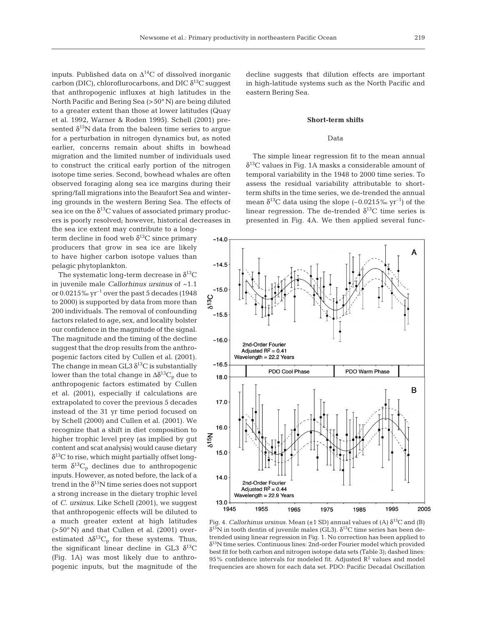inputs. Published data on  $\Delta^{14}$ C of dissolved inorganic carbon (DIC), chloroflurocarbons, and DIC  $\delta^{13}C$  suggest that anthropogenic influxes at high latitudes in the North Pacific and Bering Sea (>50° N) are being diluted to a greater extent than those at lower latitudes (Quay et al. 1992, Warner & Roden 1995). Schell (2001) presented  $\delta^{15}$ N data from the baleen time series to argue for a perturbation in nitrogen dynamics but, as noted earlier, concerns remain about shifts in bowhead migration and the limited number of individuals used to construct the critical early portion of the nitrogen isotope time series. Second, bowhead whales are often observed foraging along sea ice margins during their spring/fall migrations into the Beaufort Sea and wintering grounds in the western Bering Sea. The effects of sea ice on the  $\delta^{13}$ C values of associated primary producers is poorly resolved; however, historical decreases in the sea ice extent may contribute to a long-

term decline in food web  $\delta^{13}$ C since primary producers that grow in sea ice are likely to have higher carbon isotope values than pelagic phytoplankton.

The systematic long-term decrease in  $\delta^{13}C$ in juvenile male *Callorhinus ursinus* of ~1.1 or  $0.0215\%$  yr<sup>-1</sup> over the past 5 decades (1948) to 2000) is supported by data from more than 200 individuals. The removal of confounding factors related to age, sex, and locality bolster our confidence in the magnitude of the signal. The magnitude and the timing of the decline suggest that the drop results from the anthropogenic factors cited by Cullen et al. (2001). The change in mean GL3  $\delta^{13}$ C is substantially lower than the total change in  $\Delta \delta^{13}C_p$  due to anthropogenic factors estimated by Cullen et al. (2001), especially if calculations are extrapolated to cover the previous 5 decades instead of the 31 yr time period focused on by Schell (2000) and Cullen et al. (2001). We recognize that a shift in diet composition to higher trophic level prey (as implied by gut content and scat analysis) would cause dietary  $\delta^{13}$ C to rise, which might partially offset longterm  $\delta^{13}C_p$  declines due to anthropogenic inputs. However, as noted before, the lack of a trend in the  $\delta^{15}N$  time series does not support a strong increase in the dietary trophic level of *C. ursinus*. Like Schell (2001), we suggest that anthropogenic effects will be diluted to a much greater extent at high latitudes (>50° N) and that Cullen et al. (2001) overestimated  $\Delta \delta^{13}C_p$  for these systems. Thus, the significant linear decline in GL3  $\delta^{13}$ C (Fig. 1A) was most likely due to anthropogenic inputs, but the magnitude of the

decline suggests that dilution effects are important in high-latitude systems such as the North Pacific and eastern Bering Sea.

#### **Short-term shifts**

## Data

The simple linear regression fit to the mean annual  $\delta^{13}$ C values in Fig. 1A masks a considerable amount of temporal variability in the 1948 to 2000 time series. To assess the residual variability attributable to shortterm shifts in the time series, we de-trended the annual mean  $\delta^{13}$ C data using the slope (–0.0215‰ yr<sup>-1</sup>) of the linear regression. The de-trended  $\delta^{13}$ C time series is presented in Fig. 4A. We then applied several func-



Fig. 4. *Callorhinus ursinus*. Mean ( $\pm$ 1 SD) annual values of (A)  $\delta^{13}$ C and (B) δ<sup>15</sup>N in tooth dentin of juvenile males (GL3). δ<sup>13</sup>C time series has been detrended using linear regression in Fig. 1. No correction has been applied to  $\delta^{15}$ N time series. Continuous lines: 2nd-order Fourier model which provided best fit for both carbon and nitrogen isotope data sets (Table 3); dashed lines: 95% confidence intervals for modeled fit. Adjusted  $\mathbb{R}^2$  values and model frequencies are shown for each data set. PDO: Pacific Decadal Oscillation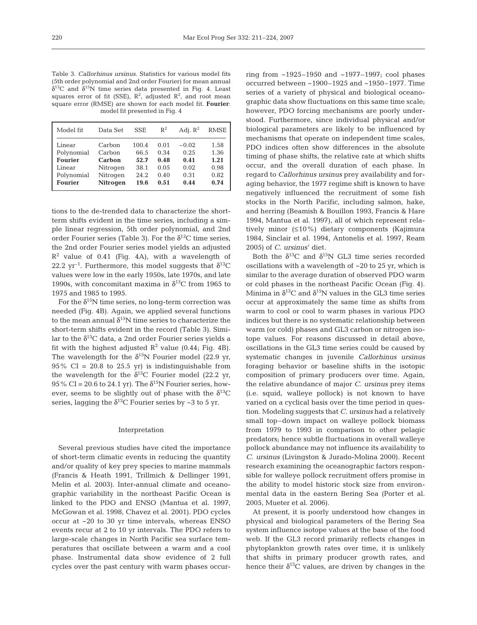Table 3. *Callorhinus ursinus*. Statistics for various model fits (5th order polynomial and 2nd order Fourier) for mean annual  $\delta^{13}$ C and  $\delta^{15}$ N time series data presented in Fig. 4. Least squares error of fit (SSE),  $\mathbb{R}^2$ , adjusted  $\mathbb{R}^2$ , and root mean square error (RMSE) are shown for each model fit. **Fourier**: model fit presented in Fig. 4

| Model fit      | Data Set | <b>SSE</b> | $R^2$ | Adi. $R^2$ | <b>RMSE</b> |
|----------------|----------|------------|-------|------------|-------------|
| Linear         | Carbon   | 100.4      | 0.01  | $-0.02$    | 1.58        |
| Polynomial     | Carbon   | 66.5       | 0.34  | 0.25       | 1.36        |
| <b>Fourier</b> | Carbon   | 52.7       | 0.48  | 0.41       | 1.21        |
| Linear         | Nitrogen | 38.1       | 0.05  | 0.02       | 0.98        |
| Polynomial     | Nitrogen | 24.2       | 0.40  | 0.31       | 0.82        |
| <b>Fourier</b> | Nitrogen | 19.6       | 0.51  | 0.44       | 0.74        |

tions to the de-trended data to characterize the shortterm shifts evident in the time series, including a simple linear regression, 5th order polynomial, and 2nd order Fourier series (Table 3). For the  $\delta^{13}$ C time series, the 2nd order Fourier series model yields an adjusted  $R<sup>2</sup>$  value of 0.41 (Fig. 4A), with a wavelength of 22.2  $yr^{-1}$ . Furthermore, this model suggests that  $\delta^{13}C$ values were low in the early 1950s, late 1970s, and late 1990s, with concomitant maxima in  $\delta^{13}$ C from 1965 to 1975 and 1985 to 1995.

For the  $\delta^{15}$ N time series, no long-term correction was needed (Fig. 4B). Again, we applied several functions to the mean annual  $\delta^{15}N$  time series to characterize the short-term shifts evident in the record (Table 3). Similar to the  $\delta^{13}$ C data, a 2nd order Fourier series yields a fit with the highest adjusted  $R^2$  value (0.44; Fig. 4B). The wavelength for the  $\delta^{15}N$  Fourier model (22.9 yr,  $95\%$  CI = 20.8 to 25.5 yr) is indistinguishable from the wavelength for the  $\delta^{13}$ C Fourier model (22.2 yr, 95% CI = 20.6 to 24.1 yr). The  $\delta^{15}N$  Fourier series, however, seems to be slightly out of phase with the  $\delta^{13}C$ series, lagging the  $\delta^{13}$ C Fourier series by ~3 to 5 yr.

#### Interpretation

Several previous studies have cited the importance of short-term climatic events in reducing the quantity and/or quality of key prey species to marine mammals (Francis & Heath 1991, Trillmich & Dellinger 1991, Melin et al. 2003). Inter-annual climate and oceanographic variability in the northeast Pacific Ocean is linked to the PDO and ENSO (Mantua et al. 1997, McGowan et al. 1998, Chavez et al. 2001). PDO cycles occur at ~20 to 30 yr time intervals, whereas ENSO events recur at 2 to 10 yr intervals. The PDO refers to large-scale changes in North Pacific sea surface temperatures that oscillate between a warm and a cool phase. Instrumental data show evidence of 2 full cycles over the past century with warm phases occurring from  $~1925-1950$  and  $~1977-1997$ ; cool phases occurred between ~1900–1925 and ~1950–1977. Time series of a variety of physical and biological oceanographic data show fluctuations on this same time scale; however, PDO forcing mechanisms are poorly understood. Furthermore, since individual physical and/or biological parameters are likely to be influenced by mechanisms that operate on independent time scales, PDO indices often show differences in the absolute timing of phase shifts, the relative rate at which shifts occur, and the overall duration of each phase. In regard to *Callorhinus ursinus* prey availability and foraging behavior, the 1977 regime shift is known to have negatively influenced the recruitment of some fish stocks in the North Pacific, including salmon, hake, and herring (Beamish & Bouillon 1993, Francis & Hare 1994, Mantua et al. 1997), all of which represent relatively minor (≤10%) dietary components (Kajimura 1984, Sinclair et al. 1994, Antonelis et al. 1997, Ream 2005) of *C. ursinus*' diet.

Both the  $\delta^{13}C$  and  $\delta^{15}N$  GL3 time series recorded oscillations with a wavelength of ~20 to 25 yr, which is similar to the average duration of observed PDO warm or cold phases in the northeast Pacific Ocean (Fig. 4). Minima in  $\delta^{13}C$  and  $\delta^{15}N$  values in the GL3 time series occur at approximately the same time as shifts from warm to cool or cool to warm phases in various PDO indices but there is no systematic relationship between warm (or cold) phases and GL3 carbon or nitrogen isotope values. For reasons discussed in detail above, oscillations in the GL3 time series could be caused by systematic changes in juvenile *Callorhinus ursinus* foraging behavior or baseline shifts in the isotopic composition of primary producers over time. Again, the relative abundance of major *C. ursinus* prey items (i.e. squid, walleye pollock) is not known to have varied on a cyclical basis over the time period in question. Modeling suggests that *C. ursinus* had a relatively small top–down impact on walleye pollock biomass from 1979 to 1993 in comparison to other pelagic predators; hence subtle fluctuations in overall walleye pollock abundance may not influence its availability to *C. ursinus* (Livingston & Jurado-Molina 2000). Recent research examining the oceanographic factors responsible for walleye pollock recruitment offers promise in the ability to model historic stock size from environmental data in the eastern Bering Sea (Porter et al. 2005, Mueter et al. 2006).

At present, it is poorly understood how changes in physical and biological parameters of the Bering Sea system influence isotope values at the base of the food web. If the GL3 record primarily reflects changes in phytoplankton growth rates over time, it is unlikely that shifts in primary producer growth rates, and hence their  $\delta^{13}$ C values, are driven by changes in the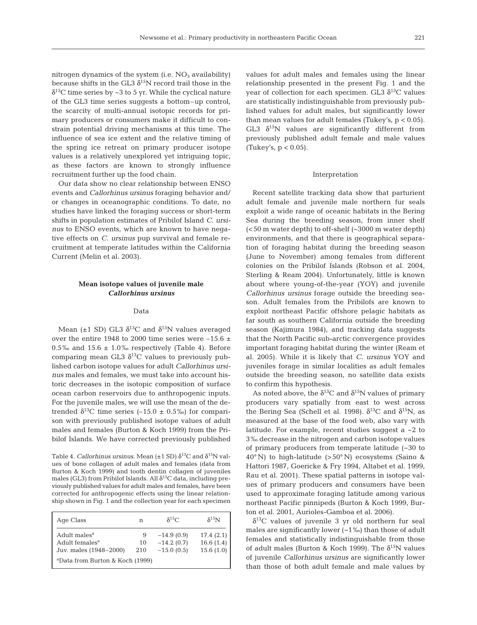nitrogen dynamics of the system (i.e.  $NO<sub>3</sub>$  availability) because shifts in the GL3  $\delta^{15}N$  record trail those in the  $\delta^{13}$ C time series by ~3 to 5 yr. While the cyclical nature of the GL3 time series suggests a bottom–up control, the scarcity of multi-annual isotopic records for primary producers or consumers make it difficult to constrain potential driving mechanisms at this time. The influence of sea ice extent and the relative timing of the spring ice retreat on primary producer isotope values is a relatively unexplored yet intriguing topic, as these factors are known to strongly influence recruitment further up the food chain.

Our data show no clear relationship between ENSO events and *Callorhinus ursinus* foraging behavior and/ or changes in oceanographic conditions. To date, no studies have linked the foraging success or short-term shifts in population estimates of Pribilof Island *C. ursinus* to ENSO events, which are known to have negative effects on *C. ursinus* pup survival and female recruitment at temperate latitudes within the California Current (Melin et al. 2003).

# **Mean isotope values of juvenile male**  *Callorhinus ursinus*

#### Data

Mean ( $\pm$ 1 SD) GL3  $\delta$ <sup>13</sup>C and  $\delta$ <sup>15</sup>N values averaged over the entire 1948 to 2000 time series were  $-15.6 \pm$ 0.5‰ and 15.6  $\pm$  1.0‰ respectively (Table 4). Before comparing mean GL3  $\delta^{13}$ C values to previously published carbon isotope values for adult *Callorhinus ursinus* males and females, we must take into account historic decreases in the isotopic composition of surface ocean carbon reservoirs due to anthropogenic inputs. For the juvenile males, we will use the mean of the detrended  $\delta^{13}$ C time series (–15.0 ± 0.5‰) for comparison with previously published isotope values of adult males and females (Burton & Koch 1999) from the Pribilof Islands. We have corrected previously published

Table 4. *Callorhinus ursinus*. Mean ( $\pm$ 1 SD)  $\delta$ <sup>13</sup>C and  $\delta$ <sup>15</sup>N values of bone collagen of adult males and females (data from Burton & Koch 1999) and tooth dentin collagen of juveniles males (GL3) from Pribilof Islands. All  $\delta^{13}C$  data, including previously published values for adult males and females, have been corrected for anthropogenic effects using the linear relationship shown in Fig. 1 and the collection year for each specimen

| Age Class                                                                        | n              | $\delta^{13}C$                               | $\delta^{15}$ N                     |
|----------------------------------------------------------------------------------|----------------|----------------------------------------------|-------------------------------------|
| Adult males <sup>a</sup><br>Adult females <sup>a</sup><br>Juv. males (1948-2000) | 9<br>10<br>210 | $-14.9(0.9)$<br>$-14.2(0.7)$<br>$-15.0(0.5)$ | 17.4(2.1)<br>16.6(1.4)<br>15.6(1.0) |
| <sup>a</sup> Data from Burton & Koch (1999)                                      |                |                                              |                                     |

values for adult males and females using the linear relationship presented in the present Fig. 1 and the year of collection for each specimen. GL3  $\delta^{13}$ C values are statistically indistinguishable from previously published values for adult males, but significantly lower than mean values for adult females (Tukey's,  $p < 0.05$ ). GL3  $\delta^{15}$ N values are significantly different from previously published adult female and male values (Tukey's,  $p < 0.05$ ).

#### Interpretation

Recent satellite tracking data show that parturient adult female and juvenile male northern fur seals exploit a wide range of oceanic habitats in the Bering Sea during the breeding season, from inner shelf (<50 m water depth) to off-shelf (~3000 m water depth) environments, and that there is geographical separation of foraging habitat during the breeding season (June to November) among females from different colonies on the Pribilof Islands (Robson et al. 2004, Sterling & Ream 2004). Unfortunately, little is known about where young-of-the-year (YOY) and juvenile *Callorhinus ursinus* forage outside the breeding season. Adult females from the Pribilofs are known to exploit northeast Pacific offshore pelagic habitats as far south as southern California outside the breeding season (Kajimura 1984), and tracking data suggests that the North Pacific sub-arctic convergence provides important foraging habitat during the winter (Ream et al. 2005). While it is likely that *C. ursinus* YOY and juveniles forage in similar localities as adult females outside the breeding season, no satellite data exists to confirm this hypothesis.

As noted above, the  $\delta^{13}$ C and  $\delta^{15}$ N values of primary producers vary spatially from east to west across the Bering Sea (Schell et al. 1998).  $\delta^{13}$ C and  $\delta^{15}$ N, as measured at the base of the food web, also vary with latitude. For example, recent studies suggest a  $\sim$ 2 to 3‰ decrease in the nitrogen and carbon isotope values of primary producers from temperate latitude (~30 to  $40^{\circ}$  N) to high-latitude (>50° N) ecosystems (Saino & Hattori 1987, Goericke & Fry 1994, Altabet et al. 1999, Rau et al. 2001). These spatial patterns in isotope values of primary producers and consumers have been used to approximate foraging latitude among various northeast Pacific pinnipeds (Burton & Koch 1999, Burton et al. 2001, Aurioles-Gamboa et al. 2006).

 $\delta^{13}$ C values of juvenile 3 yr old northern fur seal males are significantly lower  $(-1\%)$  than those of adult females and statistically indistinguishable from those of adult males (Burton & Koch 1999). The  $\delta^{15}N$  values of juvenile *Callorhinus ursinus* are significantly lower than those of both adult female and male values by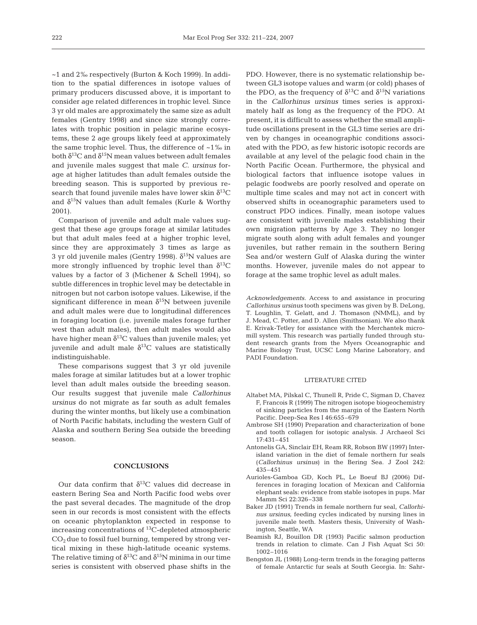~1 and 2‰ respectively (Burton & Koch 1999). In addition to the spatial differences in isotope values of primary producers discussed above, it is important to consider age related differences in trophic level. Since 3 yr old males are approximately the same size as adult females (Gentry 1998) and since size strongly correlates with trophic position in pelagic marine ecosystems, these 2 age groups likely feed at approximately the same trophic level. Thus, the difference of  $~1\%$  in both  $\delta^{13}$ C and  $\delta^{15}$ N mean values between adult females and juvenile males suggest that male *C. ursinus* forage at higher latitudes than adult females outside the breeding season. This is supported by previous research that found juvenile males have lower skin  $\delta^{13}C$ and  $\delta^{15}$ N values than adult females (Kurle & Worthy 2001).

Comparison of juvenile and adult male values suggest that these age groups forage at similar latitudes but that adult males feed at a higher trophic level, since they are approximately 3 times as large as 3 yr old juvenile males (Gentry 1998).  $\delta^{15}$ N values are more strongly influenced by trophic level than  $\delta^{13}C$ values by a factor of 3 (Michener & Schell 1994), so subtle differences in trophic level may be detectable in nitrogen but not carbon isotope values. Likewise, if the significant difference in mean  $\delta^{15}$ N between juvenile and adult males were due to longitudinal differences in foraging location (i.e. juvenile males forage further west than adult males), then adult males would also have higher mean  $\delta^{13}$ C values than juvenile males; yet juvenile and adult male  $\delta^{13}$ C values are statistically indistinguishable.

These comparisons suggest that 3 yr old juvenile males forage at similar latitudes but at a lower trophic level than adult males outside the breeding season. Our results suggest that juvenile male *Callorhinus ursinus* do not migrate as far south as adult females during the winter months, but likely use a combination of North Pacific habitats, including the western Gulf of Alaska and southern Bering Sea outside the breeding season.

## **CONCLUSIONS**

Our data confirm that  $\delta^{13}$ C values did decrease in eastern Bering Sea and North Pacific food webs over the past several decades. The magnitude of the drop seen in our records is most consistent with the effects on oceanic phytoplankton expected in response to increasing concentrations of 13C-depleted atmospheric  $CO<sub>2</sub>$  due to fossil fuel burning, tempered by strong vertical mixing in these high-latitude oceanic systems. The relative timing of  $\delta^{13}$ C and  $\delta^{15}$ N minima in our time series is consistent with observed phase shifts in the

PDO. However, there is no systematic relationship between GL3 isotope values and warm (or cold) phases of the PDO, as the frequency of  $\delta^{13}$ C and  $\delta^{15}$ N variations in the *Callorhinus ursinus* times series is approximately half as long as the frequency of the PDO. At present, it is difficult to assess whether the small amplitude oscillations present in the GL3 time series are driven by changes in oceanographic conditions associated with the PDO, as few historic isotopic records are available at any level of the pelagic food chain in the North Pacific Ocean. Furthermore, the physical and biological factors that influence isotope values in pelagic foodwebs are poorly resolved and operate on multiple time scales and may not act in concert with observed shifts in oceanographic parameters used to construct PDO indices. Finally, mean isotope values are consistent with juvenile males establishing their own migration patterns by Age 3. They no longer migrate south along with adult females and younger juveniles, but rather remain in the southern Bering Sea and/or western Gulf of Alaska during the winter months. However, juvenile males do not appear to forage at the same trophic level as adult males.

*Acknowledgements.* Access to and assistance in procuring *Callorhinus ursinus* tooth specimens was given by B. DeLong, T. Loughlin, T. Gelatt, and J. Thomason (NMML), and by J. Mead, C. Potter, and D. Allen (Smithsonian). We also thank E. Krivak-Tetley for assistance with the Merchantek micromill system. This research was partially funded through student research grants from the Myers Oceanographic and Marine Biology Trust, UCSC Long Marine Laboratory, and PADI Foundation.

#### LITERATURE CITED

- Altabet MA, Pilskal C, Thunell R, Pride C, Sigman D, Chavez F, Francois R (1999) The nitrogen isotope biogeochemistry of sinking particles from the margin of the Eastern North Pacific. Deep-Sea Res I 46:655–679
- Ambrose SH (1990) Preparation and characterization of bone and tooth collagen for isotopic analysis. J Archaeol Sci 17:431–451
- Antonelis GA, Sinclair EH, Ream RR, Robson BW (1997) Interisland variation in the diet of female northern fur seals (*Callorhinus ursinus*) in the Bering Sea. J Zool 242: 435–451
- Aurioles-Gamboa GD, Koch PL, Le Boeuf BJ (2006) Differences in foraging location of Mexican and California elephant seals: evidence from stable isotopes in pups. Mar Mamm Sci 22:326–338
- Baker JD (1991) Trends in female northern fur seal, *Callorhinus ursinus*, feeding cycles indicated by nursing lines in juvenile male teeth. Masters thesis, University of Washington, Seattle, WA
- Beamish RJ, Bouillon DR (1993) Pacific salmon production trends in relation to climate. Can J Fish Aquat Sci 50: 1002–1016
- Bengston JL (1988) Long-term trends in the foraging patterns of female Antarctic fur seals at South Georgia. In: Sahr-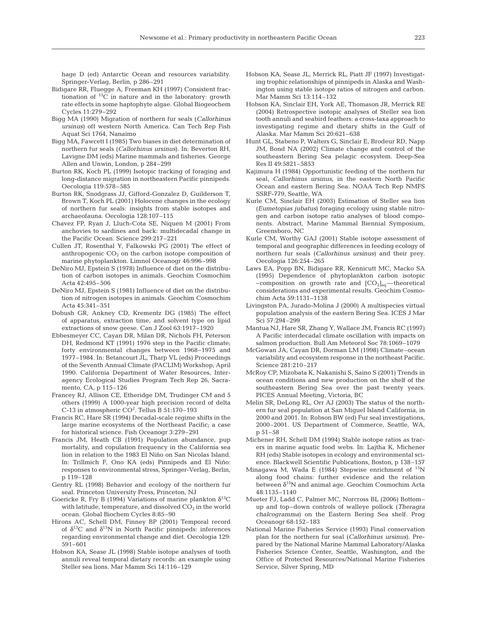hage D (ed) Antarctic Ocean and resources variability. Springer-Verlag, Berlin, p 286–291

- Bidigare RR, Fluegge A, Freeman KH (1997) Consistent fractionation of 13C in nature and in the laboratory: growth rate effects in some haptophyte algae. Global Biogeochem Cycles 11:279–292
- Bigg MA (1990) Migration of northern fur seals (*Callorhinus ursinus*) off western North America. Can Tech Rep Fish Aquat Sci 1764, Nanaimo
- Bigg MA, Fawcett I (1985) Two biases in diet determination of northern fur seals (*Callorhinus ursinus*). In: Beverton RH, Lavigne DM (eds) Marine mammals and fisheries. George Allen and Unwin, London, p 284–299
- Burton RK, Koch PL (1999) Isotopic tracking of foraging and long-distance migration in northeastern Pacific pinnipeds. Oecologia 119:578–585
- Burton RK, Snodgrass JJ, Gifford-Gonzalez D, Guilderson T, Brown T, Koch PL (2001) Holocene changes in the ecology of northern fur seals: insights from stable isotopes and archaeofauna. Oecologia 128:107–115
- Chavez FP, Ryan J, Lluch-Cota SE, Niquen M (2001) From anchovies to sardines and back: multidecadal change in the Pacific Ocean. Science 299:217–221
- Cullen JT, Rosenthal Y, Falkowski PG (2001) The effect of anthropogenic  $CO<sub>2</sub>$  on the carbon isotope composition of marine phytoplankton. Limnol Oceanogr 46:996–998
- DeNiro MJ, Epstein S (1978) Influence of diet on the distribution of carbon isotopes in animals. Geochim Cosmochim Acta 42:495–506
- DeNiro MJ, Epstein S (1981) Influence of diet on the distribution of nitrogen isotopes in animals. Geochim Cosmochim Acta 45:341–351
- Dobush GR, Ankney CD, Krementz DG (1985) The effect of apparatus, extraction time, and solvent type on lipid extractions of snow geese. Can J Zool 63:1917–1920
- Ebbesmeyer CC, Cayan DR, Milan DR, Nichols FH, Peterson DH, Redmond KT (1991) 1976 step in the Pacific climate; forty environmental changes between 1968–1975 and 1977–1984. In: Betancourt JL, Tharp VL (eds) Proceedings of the Seventh Annual Climate (PACLIM) Workshop, April 1990. California Department of Water Resources, Interagency Ecological Studies Program Tech Rep 26, Sacramento, CA, p 115–126
- Francey RJ, Allison CE, Etheridge DM, Trudinger CM and 5 others (1999) A 1000-year high precision record of delta C-13 in atmospheric CO<sup>2</sup>. Tellus B  $51:170-193$
- Francis RC, Hare SR (1994) Decadal-scale regime shifts in the large marine ecosystems of the Northeast Pacific; a case for historical science. Fish Oceanogr 3:279–291
- Francis JM, Heath CB (1991) Population abundance, pup mortality, and copulation frequency in the California sea lion in relation to the 1983 El Niño on San Nicolas Island. In: Trillmich F, Ono KA (eds) Pinnipeds and El Niño: responses to environmental stress, Springer-Verlag, Berlin, p 119–128
- Gentry RL (1998) Behavior and ecology of the northern fur seal. Princeton University Press, Princeton, NJ
- Goericke R, Fry B (1994) Variations of marine plankton  $\delta^{13}C$ with latitude, temperature, and dissolved  $CO<sub>2</sub>$  in the world ocean. Global Biochem Cycles 8:85–90
- Hirons AC, Schell DM, Finney BP (2001) Temporal record of  $\delta^{13}$ C and  $\delta^{15}$ N in North Pacific pinnipeds: inferences regarding environmental change and diet. Oecologia 129: 591–601
- Hobson KA, Sease JL (1998) Stable isotope analyses of tooth annuli reveal temporal dietary records: an example using Steller sea lions. Mar Mamm Sci 14:116–129
- Hobson KA, Sease JL, Merrick RL, Piatt JF (1997) Investigating trophic relationships of pinnipeds in Alaska and Washington using stable isotope ratios of nitrogen and carbon. Mar Mamm Sci 13:114–132
- Hobson KA, Sinclair EH, York AE, Thomason JR, Merrick RE (2004) Retrospective isotopic analyses of Steller sea lion tooth annuli and seabird feathers: a cross-taxa approach to investigating regime and dietary shifts in the Gulf of Alaska. Mar Mamm Sci 20:621–638
- Hunt GL, Stabeno P, Walters G, Sinclair E, Brodeur RD, Napp JM, Bond NA (2002) Climate change and control of the southeastern Bering Sea pelagic ecosystem. Deep-Sea Res II 49:5821–5853
- Kajimura H (1984) Opportunistic feeding of the northern fur seal, *Callorhinus ursinus*, in the eastern North Pacific Ocean and eastern Bering Sea. NOAA Tech Rep NMFS SSRF-779, Seattle, WA
- Kurle CM, Sinclair EH (2003) Estimation of Steller sea lion (*Eumetopias jubatus*) foraging ecology using stable nitrogen and carbon isotope ratio analyses of blood components. Abstract, Marine Mammal Biennial Symposium, Greensboro, NC
- Kurle CM, Worthy GAJ (2001) Stable isotope assessment of temporal and geographic differences in feeding ecology of northern fur seals (*Callorhinus ursinus*) and their prey. Oecologia 126:254–265
- Laws EA, Popp BN, Bidigare RR, Kennicutt MC, Macko SA (1995) Dependence of phytoplankton carbon isotopic -composition on growth rate and  $[CO_2]_{aq}$ —theoretical considerations and experimental results. Geochim Cosmochim Acta 59:1131–1138
- Livingston PA, Jurado-Molina J (2000) A multispecies virtual population analysis of the eastern Bering Sea. ICES J Mar Sci 57:294–299
- Mantua NJ, Hare SR, Zhang Y, Wallace JM, Francis RC (1997) A Pacific interdecadal climate oscillation with impacts on salmon production. Bull Am Meteorol Soc 78:1069–1079
- McGowan JA, Cayan DR, Dorman LM (1998) Climate–ocean variability and ecosystem response in the northeast Pacific. Science 281:210–217
- McRoy CP, Mizobata K, Nakanishi S, Saino S (2001) Trends in ocean conditions and new production on the shelf of the southeastern Bering Sea over the past twenty years. PICES Annual Meeting, Victoria, BC
- Melin SR, DeLong RL, Orr AJ (2003) The status of the northern fur seal population at San Miguel Island California, in 2000 and 2001. In: Robson BW (ed) Fur seal investigations, 2000–2001. US Department of Commerce, Seattle, WA, p 51–58
- Michener RH, Schell DM (1994) Stable isotope ratios as tracers in marine aquatic food webs. In: Lajtha K, Michener RH (eds) Stable isotopes in ecology and environmental science. Blackwell Scientific Publications, Boston, p 138–157
- Minagawa M, Wada E (1984) Stepwise enrichment of  $^{15}N$ along food chains: further evidence and the relation between  $\delta^{15}N$  and animal age. Geochim Cosmochim Acta 48:1135–1140
- Mueter FJ, Ladd C, Palmer MC, Norcross BL (2006) Bottom– up and top–down controls of walleye pollock (*Theragra chalcogramma*) on the Eastern Bering Sea shelf. Prog Oceanogr 68:152–183
- National Marine Fisheries Service (1993) Final conservation plan for the northern fur seal (*Callorhinus ursinus*). Prepared by the National Marine Mammal Laboratory/Alaska Fisheries Science Center, Seattle, Washington, and the Office of Protected Resources/National Marine Fisheries Service, Silver Spring, MD